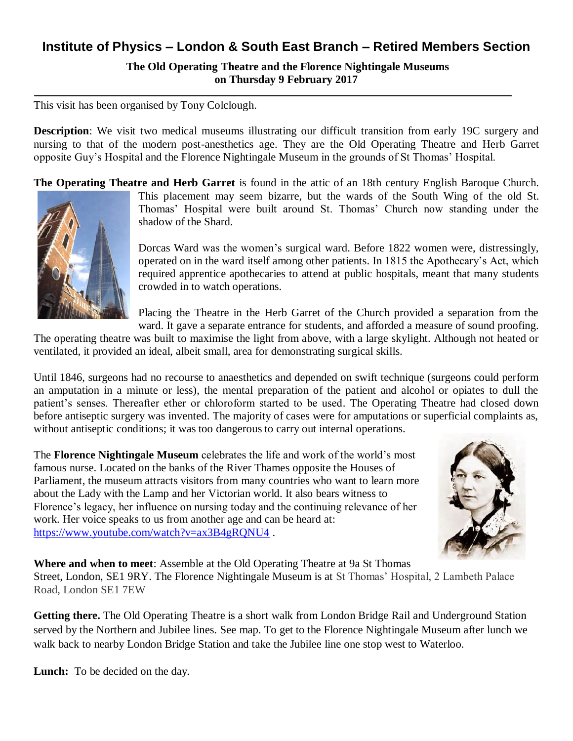## **Institute of Physics – London & South East Branch – Retired Members Section**

**The Old Operating Theatre and the Florence Nightingale Museums on Thursday 9 February 2017**

This visit has been organised by Tony Colclough.

**Description**: We visit two medical museums illustrating our difficult transition from early 19C surgery and nursing to that of the modern post-anesthetics age. They are the Old Operating Theatre and Herb Garret opposite Guy's Hospital and the Florence Nightingale Museum in the grounds of St Thomas' Hospital.

**The Operating Theatre and Herb Garret** is found in the attic of an 18th century English Baroque Church.



This placement may seem bizarre, but the wards of the South Wing of the old St. Thomas' Hospital were built around St. Thomas' Church now standing under the shadow of the Shard.

Dorcas Ward was the women's surgical ward. Before 1822 women were, distressingly, operated on in the ward itself among other patients. In 1815 the Apothecary's Act, which required apprentice apothecaries to attend at public hospitals, meant that many students crowded in to watch operations.

Placing the Theatre in the Herb Garret of the Church provided a separation from the ward. It gave a separate entrance for students, and afforded a measure of sound proofing.

The operating theatre was built to maximise the light from above, with a large skylight. Although not heated or ventilated, it provided an ideal, albeit small, area for demonstrating surgical skills.

Until 1846, surgeons had no recourse to anaesthetics and depended on swift technique (surgeons could perform an amputation in a minute or less), the mental preparation of the patient and alcohol or opiates to dull the patient's senses. Thereafter ether or chloroform started to be used. The Operating Theatre had closed down before antiseptic surgery was invented. The majority of cases were for amputations or superficial complaints as, without antiseptic conditions; it was too dangerous to carry out internal operations.

The **Florence Nightingale Museum** celebrates the life and work of the world's most famous nurse. Located on the banks of the River Thames opposite the Houses of Parliament, the museum attracts visitors from many countries who want to learn more about the Lady with the Lamp and her Victorian world. It also bears witness to Florence's legacy, her influence on nursing today and the continuing relevance of her work. Her voice speaks to us from another age and can be heard at: <https://www.youtube.com/watch?v=ax3B4gRQNU4> .



**Where and when to meet**: Assemble at the Old Operating Theatre at 9a St Thomas Street, London, SE1 9RY. The Florence Nightingale Museum is at St Thomas' Hospital, 2 Lambeth Palace Road, London SE1 7EW

**Getting there.** The Old Operating Theatre is a short walk from London Bridge Rail and Underground Station served by the Northern and Jubilee lines. See map. To get to the Florence Nightingale Museum after lunch we walk back to nearby London Bridge Station and take the Jubilee line one stop west to Waterloo.

**Lunch:** To be decided on the day.